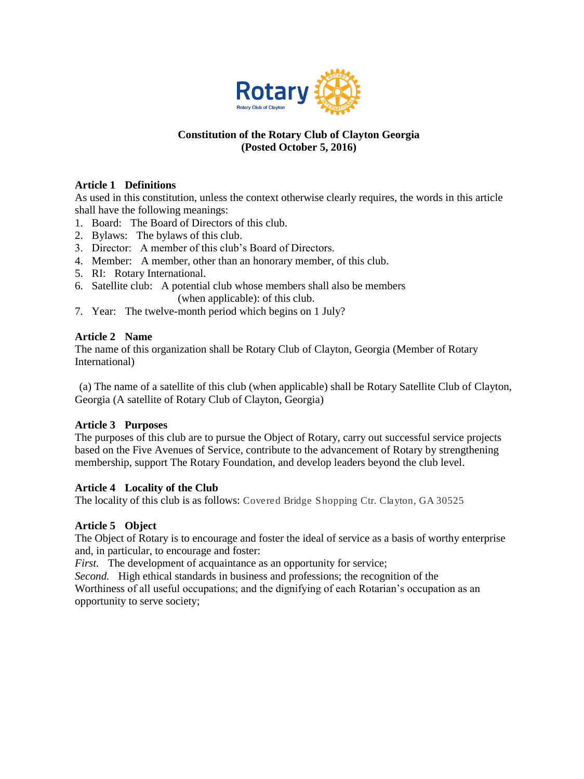

## **Constitution of the Rotary Club of Clayton Georgia (Posted October 5, 2016)**

## **Article 1 Definitions**

As used in this constitution, unless the context otherwise clearly requires, the words in this article shall have the following meanings:

- 1. Board: The Board of Directors of this club.
- 2. Bylaws: The bylaws of this club.
- 3. Director: A member of this club's Board of Directors.
- 4. Member: A member, other than an honorary member, of this club.
- 5. RI: Rotary International.
- 6. Satellite club: A potential club whose members shall also be members (when applicable): of this club.
- 7. Year: The twelve-month period which begins on 1 July?

## **Article 2 Name**

The name of this organization shall be Rotary Club of Clayton, Georgia (Member of Rotary International)

(a) The name of a satellite of this club (when applicable) shall be Rotary Satellite Club of Clayton, Georgia (A satellite of Rotary Club of Clayton, Georgia)

### **Article 3 Purposes**

The purposes of this club are to pursue the Object of Rotary, carry out successful service projects based on the Five Avenues of Service, contribute to the advancement of Rotary by strengthening membership, support The Rotary Foundation, and develop leaders beyond the club level.

# **Article 4 Locality of the Club**

The locality of this club is as follows: Covered Bridge Shopping Ctr. Clayton, GA 30525

# **Article 5 Object**

The Object of Rotary is to encourage and foster the ideal of service as a basis of worthy enterprise and, in particular, to encourage and foster:

*First.* The development of acquaintance as an opportunity for service;

*Second.* High ethical standards in business and professions; the recognition of the Worthiness of all useful occupations; and the dignifying of each Rotarian's occupation as an opportunity to serve society;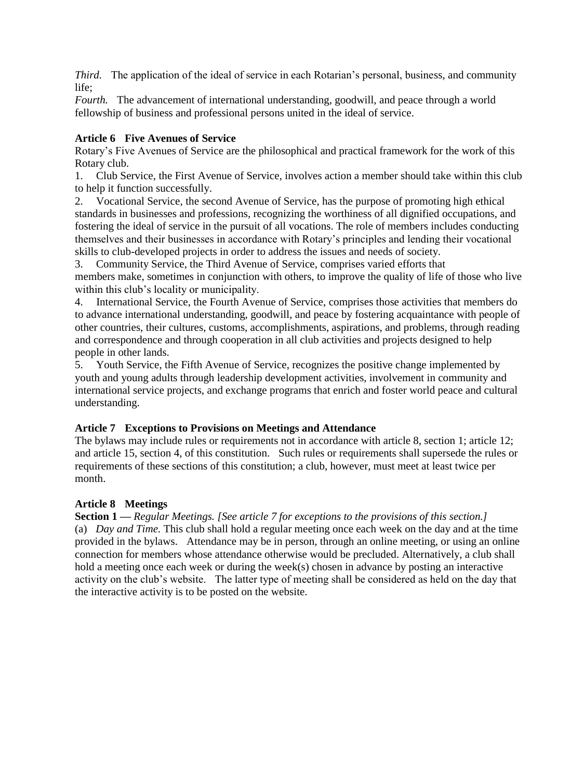*Third.* The application of the ideal of service in each Rotarian's personal, business, and community life;

*Fourth.* The advancement of international understanding, goodwill, and peace through a world fellowship of business and professional persons united in the ideal of service.

## **Article 6 Five Avenues of Service**

Rotary's Five Avenues of Service are the philosophical and practical framework for the work of this Rotary club.

1. Club Service, the First Avenue of Service, involves action a member should take within this club to help it function successfully.

2. Vocational Service, the second Avenue of Service, has the purpose of promoting high ethical standards in businesses and professions, recognizing the worthiness of all dignified occupations, and fostering the ideal of service in the pursuit of all vocations. The role of members includes conducting themselves and their businesses in accordance with Rotary's principles and lending their vocational skills to club-developed projects in order to address the issues and needs of society.

3. Community Service, the Third Avenue of Service, comprises varied efforts that members make, sometimes in conjunction with others, to improve the quality of life of those who live within this club's locality or municipality.

4. International Service, the Fourth Avenue of Service, comprises those activities that members do to advance international understanding, goodwill, and peace by fostering acquaintance with people of other countries, their cultures, customs, accomplishments, aspirations, and problems, through reading and correspondence and through cooperation in all club activities and projects designed to help people in other lands.

5. Youth Service, the Fifth Avenue of Service, recognizes the positive change implemented by youth and young adults through leadership development activities, involvement in community and international service projects, and exchange programs that enrich and foster world peace and cultural understanding.

### **Article 7 Exceptions to Provisions on Meetings and Attendance**

The bylaws may include rules or requirements not in accordance with article 8, section 1; article 12; and article 15, section 4, of this constitution. Such rules or requirements shall supersede the rules or requirements of these sections of this constitution; a club, however, must meet at least twice per month.

### **Article 8 Meetings**

**Section 1 —** *Regular Meetings. [See article 7 for exceptions to the provisions of this section.]*  (a) *Day and Time.* This club shall hold a regular meeting once each week on the day and at the time provided in the bylaws. Attendance may be in person, through an online meeting, or using an online connection for members whose attendance otherwise would be precluded. Alternatively, a club shall hold a meeting once each week or during the week(s) chosen in advance by posting an interactive activity on the club's website. The latter type of meeting shall be considered as held on the day that the interactive activity is to be posted on the website.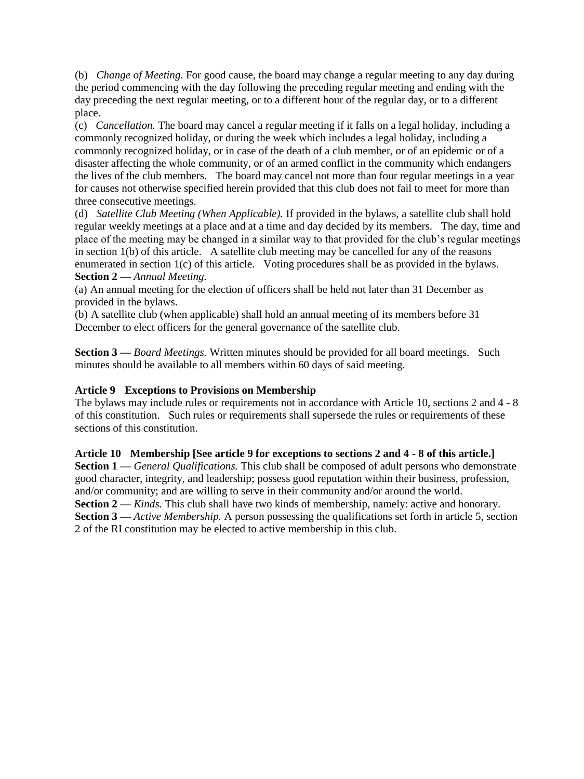(b) *Change of Meeting.* For good cause, the board may change a regular meeting to any day during the period commencing with the day following the preceding regular meeting and ending with the day preceding the next regular meeting, or to a different hour of the regular day, or to a different place.

(c) *Cancellation.* The board may cancel a regular meeting if it falls on a legal holiday, including a commonly recognized holiday, or during the week which includes a legal holiday, including a commonly recognized holiday, or in case of the death of a club member, or of an epidemic or of a disaster affecting the whole community, or of an armed conflict in the community which endangers the lives of the club members. The board may cancel not more than four regular meetings in a year for causes not otherwise specified herein provided that this club does not fail to meet for more than three consecutive meetings.

(d) *Satellite Club Meeting (When Applicable).* If provided in the bylaws, a satellite club shall hold regular weekly meetings at a place and at a time and day decided by its members. The day, time and place of the meeting may be changed in a similar way to that provided for the club's regular meetings in section 1(b) of this article. A satellite club meeting may be cancelled for any of the reasons enumerated in section 1(c) of this article. Voting procedures shall be as provided in the bylaws. **Section 2 —** *Annual Meeting.* 

(a) An annual meeting for the election of officers shall be held not later than 31 December as provided in the bylaws.

(b) A satellite club (when applicable) shall hold an annual meeting of its members before 31 December to elect officers for the general governance of the satellite club.

**Section 3** — *Board Meetings*. Written minutes should be provided for all board meetings. Such minutes should be available to all members within 60 days of said meeting.

### **Article 9 Exceptions to Provisions on Membership**

The bylaws may include rules or requirements not in accordance with Article 10, sections 2 and 4 - 8 of this constitution. Such rules or requirements shall supersede the rules or requirements of these sections of this constitution.

### **Article 10 Membership [See article 9 for exceptions to sections 2 and 4 - 8 of this article.]**

**Section 1 —** *General Qualifications.* This club shall be composed of adult persons who demonstrate good character, integrity, and leadership; possess good reputation within their business, profession, and/or community; and are willing to serve in their community and/or around the world.

**Section 2** — *Kinds*. This club shall have two kinds of membership, namely: active and honorary. **Section 3 —** *Active Membership.* A person possessing the qualifications set forth in article 5, section 2 of the RI constitution may be elected to active membership in this club.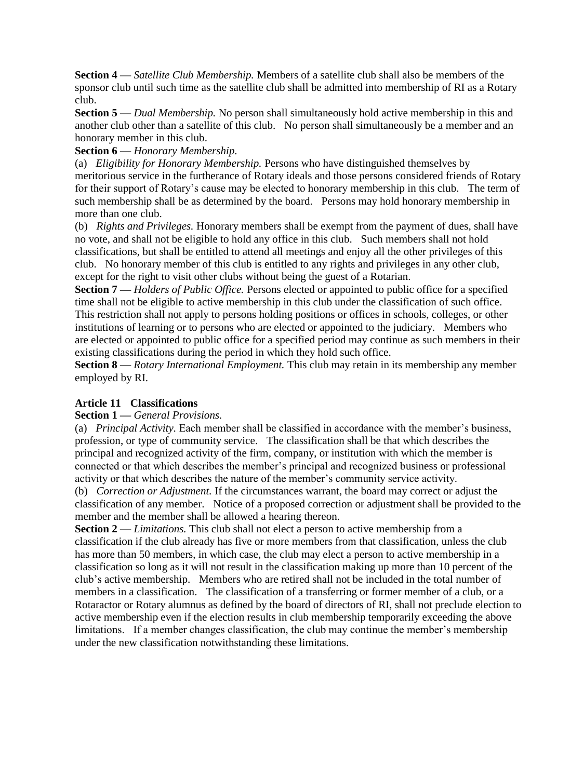**Section 4 —** *Satellite Club Membership.* Members of a satellite club shall also be members of the sponsor club until such time as the satellite club shall be admitted into membership of RI as a Rotary club.

**Section 5 —** *Dual Membership.* No person shall simultaneously hold active membership in this and another club other than a satellite of this club. No person shall simultaneously be a member and an honorary member in this club.

**Section 6 —** *Honorary Membership.* 

(a) *Eligibility for Honorary Membership.* Persons who have distinguished themselves by meritorious service in the furtherance of Rotary ideals and those persons considered friends of Rotary for their support of Rotary's cause may be elected to honorary membership in this club. The term of such membership shall be as determined by the board. Persons may hold honorary membership in more than one club.

(b) *Rights and Privileges.* Honorary members shall be exempt from the payment of dues, shall have no vote, and shall not be eligible to hold any office in this club. Such members shall not hold classifications, but shall be entitled to attend all meetings and enjoy all the other privileges of this club. No honorary member of this club is entitled to any rights and privileges in any other club, except for the right to visit other clubs without being the guest of a Rotarian.

**Section 7 —** *Holders of Public Office.* Persons elected or appointed to public office for a specified time shall not be eligible to active membership in this club under the classification of such office. This restriction shall not apply to persons holding positions or offices in schools, colleges, or other institutions of learning or to persons who are elected or appointed to the judiciary. Members who are elected or appointed to public office for a specified period may continue as such members in their existing classifications during the period in which they hold such office.

**Section 8 —** *Rotary International Employment.* This club may retain in its membership any member employed by RI.

# **Article 11 Classifications**

### **Section 1 —** *General Provisions.*

(a) *Principal Activity.* Each member shall be classified in accordance with the member's business, profession, or type of community service. The classification shall be that which describes the principal and recognized activity of the firm, company, or institution with which the member is connected or that which describes the member's principal and recognized business or professional activity or that which describes the nature of the member's community service activity.

(b) *Correction or Adjustment.* If the circumstances warrant, the board may correct or adjust the classification of any member. Notice of a proposed correction or adjustment shall be provided to the member and the member shall be allowed a hearing thereon.

**Section 2 —** *Limitations.* This club shall not elect a person to active membership from a classification if the club already has five or more members from that classification, unless the club has more than 50 members, in which case, the club may elect a person to active membership in a classification so long as it will not result in the classification making up more than 10 percent of the club's active membership. Members who are retired shall not be included in the total number of members in a classification. The classification of a transferring or former member of a club, or a Rotaractor or Rotary alumnus as defined by the board of directors of RI, shall not preclude election to active membership even if the election results in club membership temporarily exceeding the above limitations. If a member changes classification, the club may continue the member's membership under the new classification notwithstanding these limitations.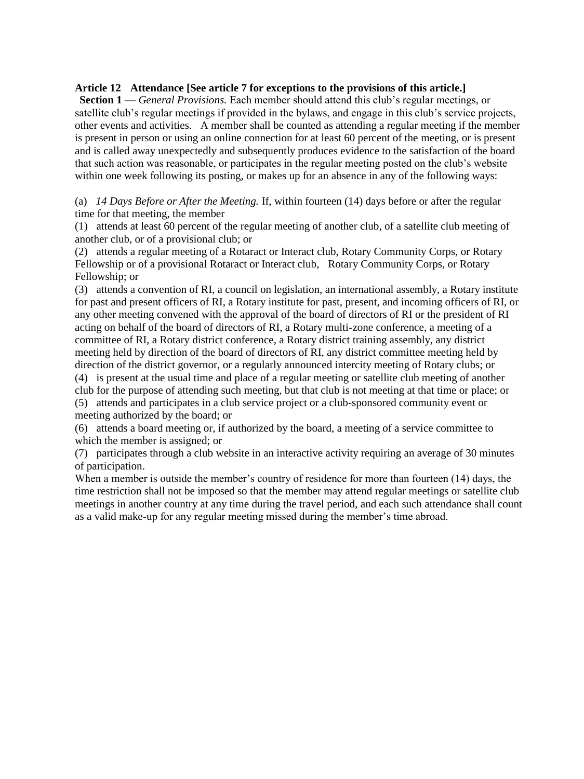## **Article 12 Attendance [See article 7 for exceptions to the provisions of this article.]**

**Section 1 —** *General Provisions.* Each member should attend this club's regular meetings, or satellite club's regular meetings if provided in the bylaws, and engage in this club's service projects, other events and activities. A member shall be counted as attending a regular meeting if the member is present in person or using an online connection for at least 60 percent of the meeting, or is present and is called away unexpectedly and subsequently produces evidence to the satisfaction of the board that such action was reasonable, or participates in the regular meeting posted on the club's website within one week following its posting, or makes up for an absence in any of the following ways:

(a) *14 Days Before or After the Meeting.* If, within fourteen (14) days before or after the regular time for that meeting, the member

(1) attends at least 60 percent of the regular meeting of another club, of a satellite club meeting of another club, or of a provisional club; or

(2) attends a regular meeting of a Rotaract or Interact club, Rotary Community Corps, or Rotary Fellowship or of a provisional Rotaract or Interact club, Rotary Community Corps, or Rotary Fellowship; or

(3) attends a convention of RI, a council on legislation, an international assembly, a Rotary institute for past and present officers of RI, a Rotary institute for past, present, and incoming officers of RI, or any other meeting convened with the approval of the board of directors of RI or the president of RI acting on behalf of the board of directors of RI, a Rotary multi-zone conference, a meeting of a committee of RI, a Rotary district conference, a Rotary district training assembly, any district meeting held by direction of the board of directors of RI, any district committee meeting held by direction of the district governor, or a regularly announced intercity meeting of Rotary clubs; or

(4) is present at the usual time and place of a regular meeting or satellite club meeting of another club for the purpose of attending such meeting, but that club is not meeting at that time or place; or (5) attends and participates in a club service project or a club-sponsored community event or meeting authorized by the board; or

(6) attends a board meeting or, if authorized by the board, a meeting of a service committee to which the member is assigned; or

(7) participates through a club website in an interactive activity requiring an average of 30 minutes of participation.

When a member is outside the member's country of residence for more than fourteen (14) days, the time restriction shall not be imposed so that the member may attend regular meetings or satellite club meetings in another country at any time during the travel period, and each such attendance shall count as a valid make-up for any regular meeting missed during the member's time abroad.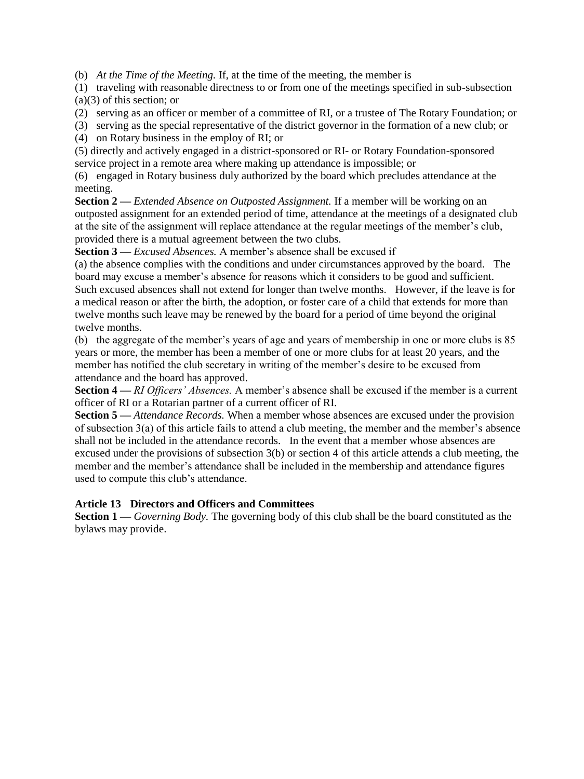(b) *At the Time of the Meeting.* If, at the time of the meeting, the member is

(1) traveling with reasonable directness to or from one of the meetings specified in sub-subsection (a)(3) of this section; or

- (2) serving as an officer or member of a committee of RI, or a trustee of The Rotary Foundation; or
- (3) serving as the special representative of the district governor in the formation of a new club; or
- (4) on Rotary business in the employ of RI; or

(5) directly and actively engaged in a district-sponsored or RI- or Rotary Foundation-sponsored service project in a remote area where making up attendance is impossible; or

(6) engaged in Rotary business duly authorized by the board which precludes attendance at the meeting.

**Section 2 —** *Extended Absence on Outposted Assignment.* If a member will be working on an outposted assignment for an extended period of time, attendance at the meetings of a designated club at the site of the assignment will replace attendance at the regular meetings of the member's club, provided there is a mutual agreement between the two clubs.

**Section 3 —** *Excused Absences.* A member's absence shall be excused if

(a) the absence complies with the conditions and under circumstances approved by the board. The board may excuse a member's absence for reasons which it considers to be good and sufficient. Such excused absences shall not extend for longer than twelve months. However, if the leave is for a medical reason or after the birth, the adoption, or foster care of a child that extends for more than twelve months such leave may be renewed by the board for a period of time beyond the original twelve months.

(b) the aggregate of the member's years of age and years of membership in one or more clubs is 85 years or more, the member has been a member of one or more clubs for at least 20 years, and the member has notified the club secretary in writing of the member's desire to be excused from attendance and the board has approved.

**Section 4 —** *RI Officers' Absences.* A member's absence shall be excused if the member is a current officer of RI or a Rotarian partner of a current officer of RI.

**Section 5 —** *Attendance Records.* When a member whose absences are excused under the provision of subsection 3(a) of this article fails to attend a club meeting, the member and the member's absence shall not be included in the attendance records. In the event that a member whose absences are excused under the provisions of subsection 3(b) or section 4 of this article attends a club meeting, the member and the member's attendance shall be included in the membership and attendance figures used to compute this club's attendance.

# **Article 13 Directors and Officers and Committees**

**Section 1 —** *Governing Body.* The governing body of this club shall be the board constituted as the bylaws may provide.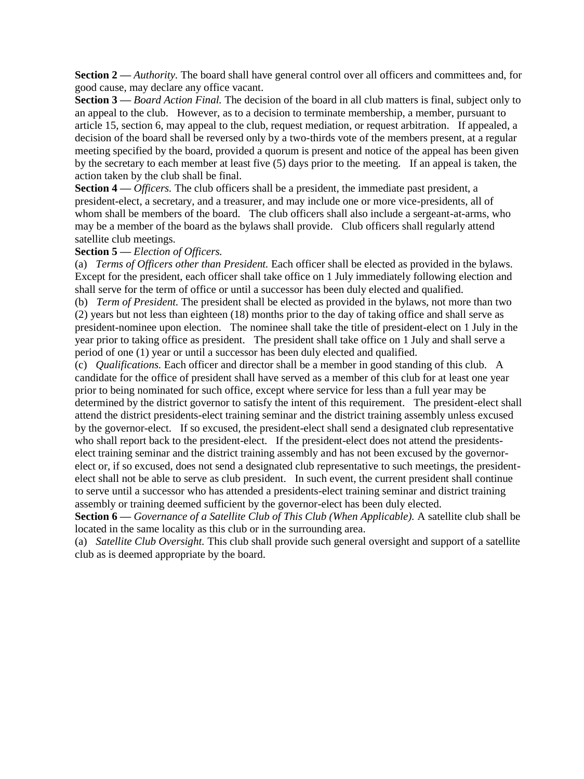**Section 2** — *Authority*. The board shall have general control over all officers and committees and, for good cause, may declare any office vacant.

**Section 3** — *Board Action Final*. The decision of the board in all club matters is final, subject only to an appeal to the club. However, as to a decision to terminate membership, a member, pursuant to article 15, section 6, may appeal to the club, request mediation, or request arbitration. If appealed, a decision of the board shall be reversed only by a two-thirds vote of the members present, at a regular meeting specified by the board, provided a quorum is present and notice of the appeal has been given by the secretary to each member at least five (5) days prior to the meeting. If an appeal is taken, the action taken by the club shall be final.

**Section 4 —** *Officers.* The club officers shall be a president, the immediate past president, a president-elect, a secretary, and a treasurer, and may include one or more vice-presidents, all of whom shall be members of the board. The club officers shall also include a sergeant-at-arms, who may be a member of the board as the bylaws shall provide. Club officers shall regularly attend satellite club meetings.

#### **Section 5 —** *Election of Officers.*

(a) *Terms of Officers other than President.* Each officer shall be elected as provided in the bylaws. Except for the president, each officer shall take office on 1 July immediately following election and shall serve for the term of office or until a successor has been duly elected and qualified.

(b) *Term of President.* The president shall be elected as provided in the bylaws, not more than two (2) years but not less than eighteen (18) months prior to the day of taking office and shall serve as president-nominee upon election. The nominee shall take the title of president-elect on 1 July in the year prior to taking office as president. The president shall take office on 1 July and shall serve a period of one (1) year or until a successor has been duly elected and qualified.

(c) *Qualifications.* Each officer and director shall be a member in good standing of this club. A candidate for the office of president shall have served as a member of this club for at least one year prior to being nominated for such office, except where service for less than a full year may be determined by the district governor to satisfy the intent of this requirement. The president-elect shall attend the district presidents-elect training seminar and the district training assembly unless excused by the governor-elect. If so excused, the president-elect shall send a designated club representative who shall report back to the president-elect. If the president-elect does not attend the presidentselect training seminar and the district training assembly and has not been excused by the governorelect or, if so excused, does not send a designated club representative to such meetings, the presidentelect shall not be able to serve as club president. In such event, the current president shall continue to serve until a successor who has attended a presidents-elect training seminar and district training assembly or training deemed sufficient by the governor-elect has been duly elected.

**Section 6 —** *Governance of a Satellite Club of This Club (When Applicable).* A satellite club shall be located in the same locality as this club or in the surrounding area.

(a) *Satellite Club Oversight.* This club shall provide such general oversight and support of a satellite club as is deemed appropriate by the board.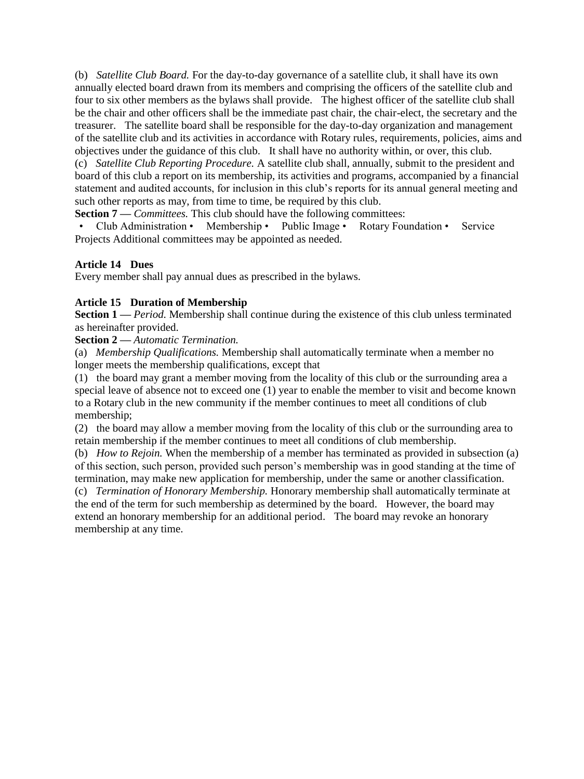(b) *Satellite Club Board.* For the day-to-day governance of a satellite club, it shall have its own annually elected board drawn from its members and comprising the officers of the satellite club and four to six other members as the bylaws shall provide. The highest officer of the satellite club shall be the chair and other officers shall be the immediate past chair, the chair-elect, the secretary and the treasurer. The satellite board shall be responsible for the day-to-day organization and management of the satellite club and its activities in accordance with Rotary rules, requirements, policies, aims and objectives under the guidance of this club. It shall have no authority within, or over, this club. (c) *Satellite Club Reporting Procedure.* A satellite club shall, annually, submit to the president and board of this club a report on its membership, its activities and programs, accompanied by a financial

statement and audited accounts, for inclusion in this club's reports for its annual general meeting and such other reports as may, from time to time, be required by this club.

**Section 7 —** *Committees.* This club should have the following committees:

• Club Administration • Membership • Public Image • Rotary Foundation • Service Projects Additional committees may be appointed as needed.

## **Article 14 Dues**

Every member shall pay annual dues as prescribed in the bylaws.

## **Article 15 Duration of Membership**

**Section 1 —** *Period.* Membership shall continue during the existence of this club unless terminated as hereinafter provided.

### **Section 2 —** *Automatic Termination.*

(a) *Membership Qualifications.* Membership shall automatically terminate when a member no longer meets the membership qualifications, except that

(1) the board may grant a member moving from the locality of this club or the surrounding area a special leave of absence not to exceed one (1) year to enable the member to visit and become known to a Rotary club in the new community if the member continues to meet all conditions of club membership;

(2) the board may allow a member moving from the locality of this club or the surrounding area to retain membership if the member continues to meet all conditions of club membership.

(b) *How to Rejoin.* When the membership of a member has terminated as provided in subsection (a) of this section, such person, provided such person's membership was in good standing at the time of termination, may make new application for membership, under the same or another classification.

(c) *Termination of Honorary Membership.* Honorary membership shall automatically terminate at the end of the term for such membership as determined by the board. However, the board may extend an honorary membership for an additional period. The board may revoke an honorary membership at any time.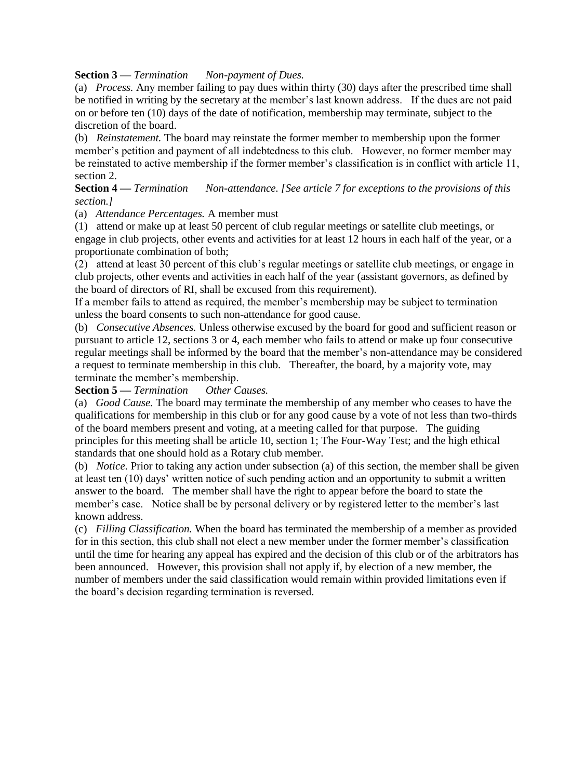## **Section 3 —** *Termination Non-payment of Dues.*

(a) *Process.* Any member failing to pay dues within thirty (30) days after the prescribed time shall be notified in writing by the secretary at the member's last known address. If the dues are not paid on or before ten (10) days of the date of notification, membership may terminate, subject to the discretion of the board.

(b) *Reinstatement.* The board may reinstate the former member to membership upon the former member's petition and payment of all indebtedness to this club. However, no former member may be reinstated to active membership if the former member's classification is in conflict with article 11, section 2.

### **Section 4 —** *Termination Non-attendance. [See article 7 for exceptions to the provisions of this section.]*

(a) *Attendance Percentages.* A member must

(1) attend or make up at least 50 percent of club regular meetings or satellite club meetings, or engage in club projects, other events and activities for at least 12 hours in each half of the year, or a proportionate combination of both;

(2) attend at least 30 percent of this club's regular meetings or satellite club meetings, or engage in club projects, other events and activities in each half of the year (assistant governors, as defined by the board of directors of RI, shall be excused from this requirement).

If a member fails to attend as required, the member's membership may be subject to termination unless the board consents to such non-attendance for good cause.

(b) *Consecutive Absences.* Unless otherwise excused by the board for good and sufficient reason or pursuant to article 12, sections 3 or 4, each member who fails to attend or make up four consecutive regular meetings shall be informed by the board that the member's non-attendance may be considered a request to terminate membership in this club. Thereafter, the board, by a majority vote, may terminate the member's membership.

**Section 5 —** *Termination Other Causes.*

(a) *Good Cause.* The board may terminate the membership of any member who ceases to have the qualifications for membership in this club or for any good cause by a vote of not less than two-thirds of the board members present and voting, at a meeting called for that purpose. The guiding principles for this meeting shall be article 10, section 1; The Four-Way Test; and the high ethical standards that one should hold as a Rotary club member.

(b) *Notice.* Prior to taking any action under subsection (a) of this section, the member shall be given at least ten (10) days' written notice of such pending action and an opportunity to submit a written answer to the board. The member shall have the right to appear before the board to state the member's case. Notice shall be by personal delivery or by registered letter to the member's last known address.

(c) *Filling Classification.* When the board has terminated the membership of a member as provided for in this section, this club shall not elect a new member under the former member's classification until the time for hearing any appeal has expired and the decision of this club or of the arbitrators has been announced. However, this provision shall not apply if, by election of a new member, the number of members under the said classification would remain within provided limitations even if the board's decision regarding termination is reversed.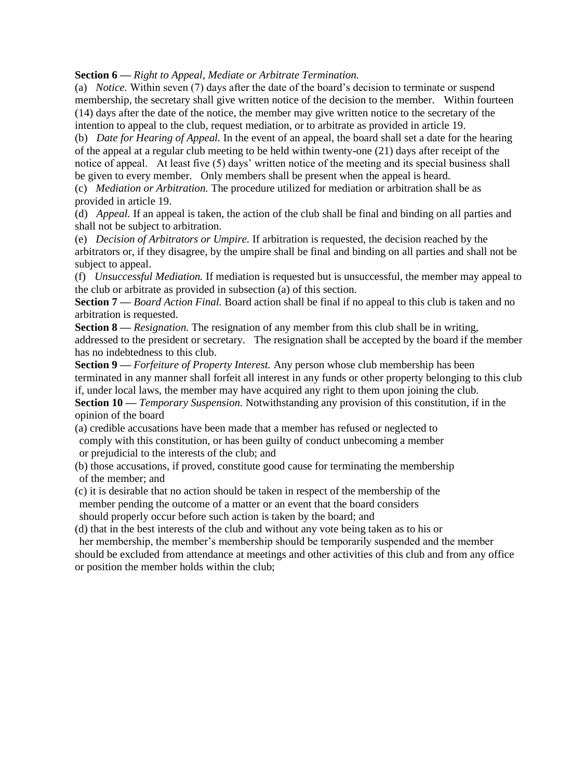### **Section 6 —** *Right to Appeal, Mediate or Arbitrate Termination.*

(a) *Notice.* Within seven (7) days after the date of the board's decision to terminate or suspend membership, the secretary shall give written notice of the decision to the member. Within fourteen (14) days after the date of the notice, the member may give written notice to the secretary of the intention to appeal to the club, request mediation, or to arbitrate as provided in article 19.

(b) *Date for Hearing of Appeal.* In the event of an appeal, the board shall set a date for the hearing of the appeal at a regular club meeting to be held within twenty-one (21) days after receipt of the notice of appeal. At least five (5) days' written notice of the meeting and its special business shall be given to every member. Only members shall be present when the appeal is heard.

(c) *Mediation or Arbitration.* The procedure utilized for mediation or arbitration shall be as provided in article 19.

(d) *Appeal.* If an appeal is taken, the action of the club shall be final and binding on all parties and shall not be subject to arbitration.

(e) *Decision of Arbitrators or Umpire.* If arbitration is requested, the decision reached by the arbitrators or, if they disagree, by the umpire shall be final and binding on all parties and shall not be subject to appeal.

(f) *Unsuccessful Mediation.* If mediation is requested but is unsuccessful, the member may appeal to the club or arbitrate as provided in subsection (a) of this section.

**Section 7** — *Board Action Final.* Board action shall be final if no appeal to this club is taken and no arbitration is requested.

**Section 8 —** *Resignation.* The resignation of any member from this club shall be in writing, addressed to the president or secretary. The resignation shall be accepted by the board if the member has no indebtedness to this club.

**Section 9 —** *Forfeiture of Property Interest.* Any person whose club membership has been terminated in any manner shall forfeit all interest in any funds or other property belonging to this club if, under local laws, the member may have acquired any right to them upon joining the club.

**Section 10 —** *Temporary Suspension.* Notwithstanding any provision of this constitution, if in the opinion of the board

(a) credible accusations have been made that a member has refused or neglected to comply with this constitution, or has been guilty of conduct unbecoming a member or prejudicial to the interests of the club; and

- (b) those accusations, if proved, constitute good cause for terminating the membership of the member; and
- (c) it is desirable that no action should be taken in respect of the membership of the

member pending the outcome of a matter or an event that the board considers

should properly occur before such action is taken by the board; and

(d) that in the best interests of the club and without any vote being taken as to his or

her membership, the member's membership should be temporarily suspended and the member should be excluded from attendance at meetings and other activities of this club and from any office or position the member holds within the club;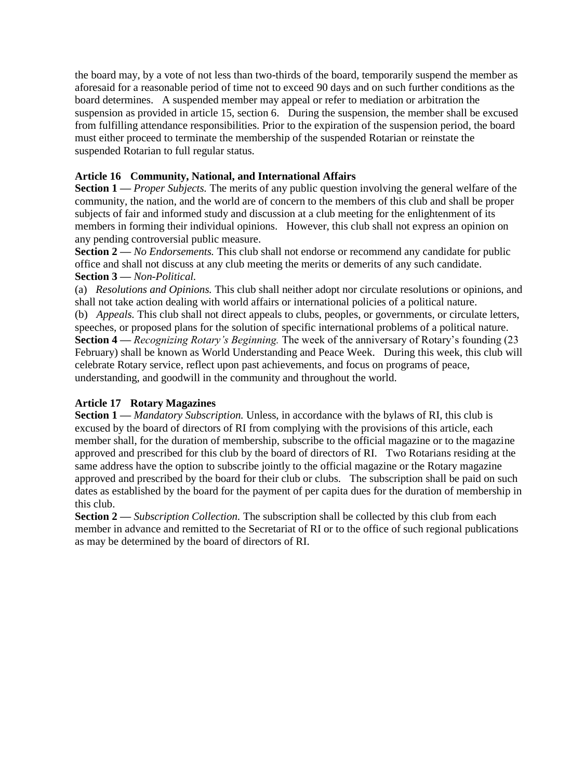the board may, by a vote of not less than two-thirds of the board, temporarily suspend the member as aforesaid for a reasonable period of time not to exceed 90 days and on such further conditions as the board determines. A suspended member may appeal or refer to mediation or arbitration the suspension as provided in article 15, section 6. During the suspension, the member shall be excused from fulfilling attendance responsibilities. Prior to the expiration of the suspension period, the board must either proceed to terminate the membership of the suspended Rotarian or reinstate the suspended Rotarian to full regular status.

# **Article 16 Community, National, and International Affairs**

**Section 1 —** *Proper Subjects.* The merits of any public question involving the general welfare of the community, the nation, and the world are of concern to the members of this club and shall be proper subjects of fair and informed study and discussion at a club meeting for the enlightenment of its members in forming their individual opinions. However, this club shall not express an opinion on any pending controversial public measure.

**Section 2** — *No Endorsements*. This club shall not endorse or recommend any candidate for public office and shall not discuss at any club meeting the merits or demerits of any such candidate. **Section 3 —** *Non-Political.* 

(a) *Resolutions and Opinions.* This club shall neither adopt nor circulate resolutions or opinions, and shall not take action dealing with world affairs or international policies of a political nature.

(b) *Appeals.* This club shall not direct appeals to clubs, peoples, or governments, or circulate letters, speeches, or proposed plans for the solution of specific international problems of a political nature. **Section 4 —** *Recognizing Rotary's Beginning.* The week of the anniversary of Rotary's founding (23 February) shall be known as World Understanding and Peace Week. During this week, this club will celebrate Rotary service, reflect upon past achievements, and focus on programs of peace, understanding, and goodwill in the community and throughout the world.

# **Article 17 Rotary Magazines**

**Section 1** — *Mandatory Subscription*. Unless, in accordance with the bylaws of RI, this club is excused by the board of directors of RI from complying with the provisions of this article, each member shall, for the duration of membership, subscribe to the official magazine or to the magazine approved and prescribed for this club by the board of directors of RI. Two Rotarians residing at the same address have the option to subscribe jointly to the official magazine or the Rotary magazine approved and prescribed by the board for their club or clubs. The subscription shall be paid on such dates as established by the board for the payment of per capita dues for the duration of membership in this club.

**Section 2** — *Subscription Collection*. The subscription shall be collected by this club from each member in advance and remitted to the Secretariat of RI or to the office of such regional publications as may be determined by the board of directors of RI.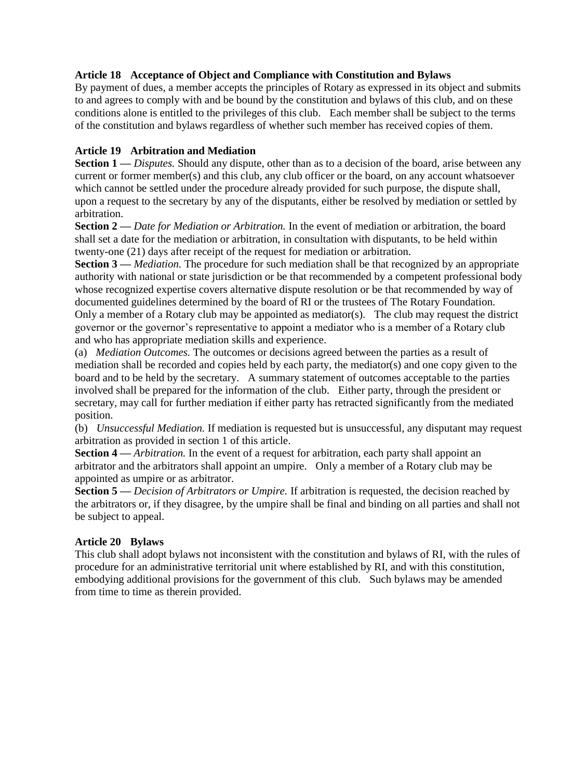# **Article 18 Acceptance of Object and Compliance with Constitution and Bylaws**

By payment of dues, a member accepts the principles of Rotary as expressed in its object and submits to and agrees to comply with and be bound by the constitution and bylaws of this club, and on these conditions alone is entitled to the privileges of this club. Each member shall be subject to the terms of the constitution and bylaws regardless of whether such member has received copies of them.

# **Article 19 Arbitration and Mediation**

**Section 1** — *Disputes*. Should any dispute, other than as to a decision of the board, arise between any current or former member(s) and this club, any club officer or the board, on any account whatsoever which cannot be settled under the procedure already provided for such purpose, the dispute shall, upon a request to the secretary by any of the disputants, either be resolved by mediation or settled by arbitration.

**Section 2 —** *Date for Mediation or Arbitration.* In the event of mediation or arbitration, the board shall set a date for the mediation or arbitration, in consultation with disputants, to be held within twenty-one (21) days after receipt of the request for mediation or arbitration.

**Section 3 —** *Mediation.* The procedure for such mediation shall be that recognized by an appropriate authority with national or state jurisdiction or be that recommended by a competent professional body whose recognized expertise covers alternative dispute resolution or be that recommended by way of documented guidelines determined by the board of RI or the trustees of The Rotary Foundation. Only a member of a Rotary club may be appointed as mediator(s). The club may request the district governor or the governor's representative to appoint a mediator who is a member of a Rotary club and who has appropriate mediation skills and experience.

(a) *Mediation Outcomes.* The outcomes or decisions agreed between the parties as a result of mediation shall be recorded and copies held by each party, the mediator(s) and one copy given to the board and to be held by the secretary. A summary statement of outcomes acceptable to the parties involved shall be prepared for the information of the club. Either party, through the president or secretary, may call for further mediation if either party has retracted significantly from the mediated position.

(b) *Unsuccessful Mediation.* If mediation is requested but is unsuccessful, any disputant may request arbitration as provided in section 1 of this article.

**Section 4** — *Arbitration*. In the event of a request for arbitration, each party shall appoint an arbitrator and the arbitrators shall appoint an umpire. Only a member of a Rotary club may be appointed as umpire or as arbitrator.

**Section 5 —** *Decision of Arbitrators or Umpire.* If arbitration is requested, the decision reached by the arbitrators or, if they disagree, by the umpire shall be final and binding on all parties and shall not be subject to appeal.

# **Article 20 Bylaws**

This club shall adopt bylaws not inconsistent with the constitution and bylaws of RI, with the rules of procedure for an administrative territorial unit where established by RI, and with this constitution, embodying additional provisions for the government of this club. Such bylaws may be amended from time to time as therein provided.